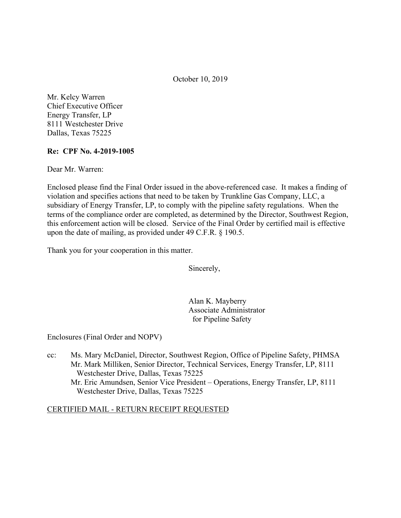October 10, 2019

Mr. Kelcy Warren Chief Executive Officer Energy Transfer, LP 8111 Westchester Drive Dallas, Texas 75225

## **Re: CPF No. 4-2019-1005**

Dear Mr. Warren:

Enclosed please find the Final Order issued in the above-referenced case. It makes a finding of violation and specifies actions that need to be taken by Trunkline Gas Company, LLC, a subsidiary of Energy Transfer, LP, to comply with the pipeline safety regulations. When the terms of the compliance order are completed, as determined by the Director, Southwest Region, this enforcement action will be closed. Service of the Final Order by certified mail is effective upon the date of mailing, as provided under 49 C.F.R. § 190.5.

Thank you for your cooperation in this matter.

Sincerely,

Alan K. Mayberry Associate Administrator for Pipeline Safety

Enclosures (Final Order and NOPV)

cc: Ms. Mary McDaniel, Director, Southwest Region, Office of Pipeline Safety, PHMSA Mr. Mark Milliken, Senior Director, Technical Services, Energy Transfer, LP, 8111 Westchester Drive, Dallas, Texas 75225 Mr. Eric Amundsen, Senior Vice President – Operations, Energy Transfer, LP, 8111 Westchester Drive, Dallas, Texas 75225

## CERTIFIED MAIL - RETURN RECEIPT REQUESTED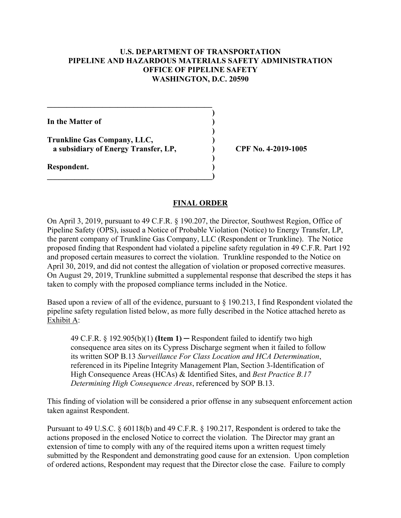## **U.S. DEPARTMENT OF TRANSPORTATION PIPELINE AND HAZARDOUS MATERIALS SAFETY ADMINISTRATION OFFICE OF PIPELINE SAFETY WASHINGTON, D.C. 20590**

**)** 

**)** 

**In the Matter of )** 

**Trunkline Gas Company, LLC, ) a subsidiary of Energy Transfer, LP, ) CPF No. 4-2019-1005**

**\_\_\_\_\_\_\_\_\_\_\_\_\_\_\_\_\_\_\_\_\_\_\_\_\_\_\_\_\_\_\_\_\_\_\_\_\_\_\_\_\_\_** 

 **)** 

 $\overline{\phantom{a}}$ 

**Respondent. )** 

## **FINAL ORDER**

On April 3, 2019, pursuant to 49 C.F.R. § 190.207, the Director, Southwest Region, Office of Pipeline Safety (OPS), issued a Notice of Probable Violation (Notice) to Energy Transfer, LP, the parent company of Trunkline Gas Company, LLC (Respondent or Trunkline). The Notice proposed finding that Respondent had violated a pipeline safety regulation in 49 C.F.R. Part 192 and proposed certain measures to correct the violation. Trunkline responded to the Notice on April 30, 2019, and did not contest the allegation of violation or proposed corrective measures. On August 29, 2019, Trunkline submitted a supplemental response that described the steps it has taken to comply with the proposed compliance terms included in the Notice.

Based upon a review of all of the evidence, pursuant to § 190.213, I find Respondent violated the pipeline safety regulation listed below, as more fully described in the Notice attached hereto as Exhibit A:

49 C.F.R. § 192.905(b)(1) **(Item 1)** ─ Respondent failed to identify two high consequence area sites on its Cypress Discharge segment when it failed to follow its written SOP B.13 *Surveillance For Class Location and HCA Determination*, referenced in its Pipeline Integrity Management Plan, Section 3-Identification of High Consequence Areas (HCAs) & Identified Sites, and *Best Practice B.17 Determining High Consequence Areas*, referenced by SOP B.13.

This finding of violation will be considered a prior offense in any subsequent enforcement action taken against Respondent.

Pursuant to 49 U.S.C. § 60118(b) and 49 C.F.R. § 190.217, Respondent is ordered to take the actions proposed in the enclosed Notice to correct the violation. The Director may grant an extension of time to comply with any of the required items upon a written request timely submitted by the Respondent and demonstrating good cause for an extension. Upon completion of ordered actions, Respondent may request that the Director close the case. Failure to comply